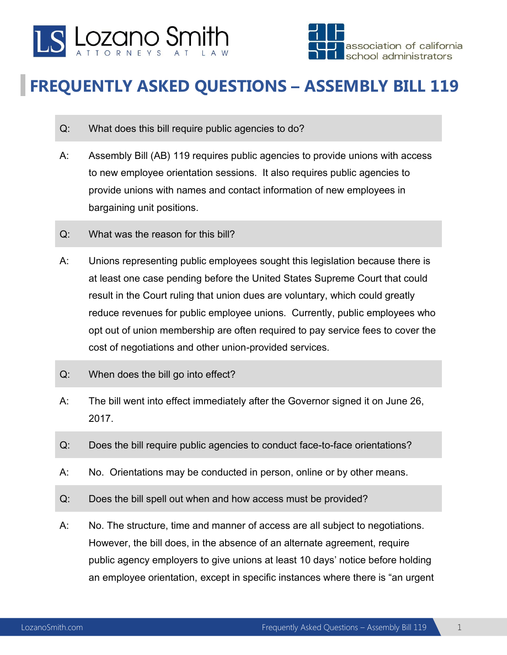



## **FREQUENTLY ASKED QUESTIONS – ASSEMBLY BILL 119**

- Q: What does this bill require public agencies to do?
- A: Assembly Bill (AB) 119 requires public agencies to provide unions with access to new employee orientation sessions. It also requires public agencies to provide unions with names and contact information of new employees in bargaining unit positions.
- Q: What was the reason for this bill?
- A: Unions representing public employees sought this legislation because there is at least one case pending before the United States Supreme Court that could result in the Court ruling that union dues are voluntary, which could greatly reduce revenues for public employee unions. Currently, public employees who opt out of union membership are often required to pay service fees to cover the cost of negotiations and other union-provided services.
- Q: When does the bill go into effect?
- A: The bill went into effect immediately after the Governor signed it on June 26, 2017.
- Q: Does the bill require public agencies to conduct face-to-face orientations?
- A: No. Orientations may be conducted in person, online or by other means.
- Q: Does the bill spell out when and how access must be provided?
- A: No. The structure, time and manner of access are all subject to negotiations. However, the bill does, in the absence of an alternate agreement, require public agency employers to give unions at least 10 days' notice before holding an employee orientation, except in specific instances where there is "an urgent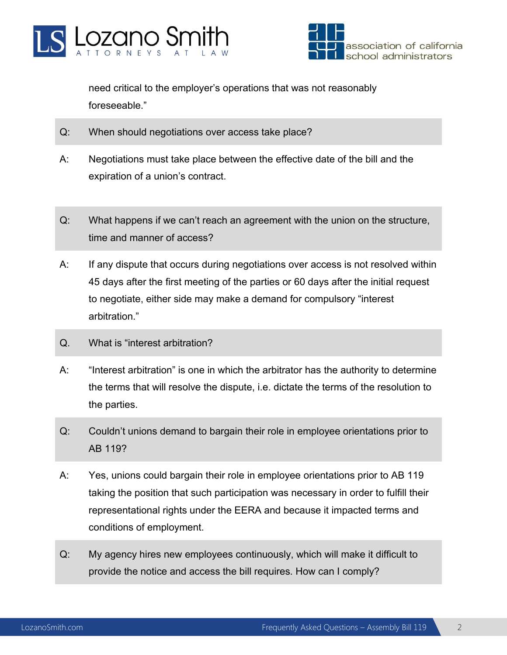



need critical to the employer's operations that was not reasonably foreseeable."

- Q: When should negotiations over access take place?
- A: Negotiations must take place between the effective date of the bill and the expiration of a union's contract.
- Q: What happens if we can't reach an agreement with the union on the structure, time and manner of access?
- A: If any dispute that occurs during negotiations over access is not resolved within 45 days after the first meeting of the parties or 60 days after the initial request to negotiate, either side may make a demand for compulsory "interest arbitration."
- Q. What is "interest arbitration?
- A: "Interest arbitration" is one in which the arbitrator has the authority to determine the terms that will resolve the dispute, i.e. dictate the terms of the resolution to the parties.
- Q: Couldn't unions demand to bargain their role in employee orientations prior to AB 119?
- A: Yes, unions could bargain their role in employee orientations prior to AB 119 taking the position that such participation was necessary in order to fulfill their representational rights under the EERA and because it impacted terms and conditions of employment.
- Q: My agency hires new employees continuously, which will make it difficult to provide the notice and access the bill requires. How can I comply?